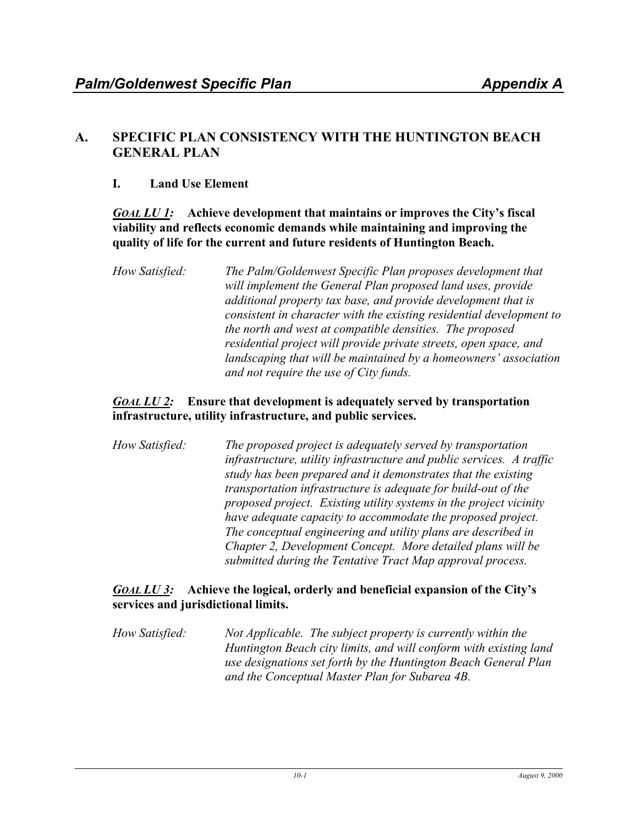# **A. SPECIFIC PLAN CONSISTENCY WITH THE HUNTINGTON BEACH GENERAL PLAN**

# **I. Land Use Element**

*GOAL LU 1:* **Achieve development that maintains or improves the City's fiscal viability and reflects economic demands while maintaining and improving the quality of life for the current and future residents of Huntington Beach.**

## *GOAL LU 2:* **Ensure that development is adequately served by transportation infrastructure, utility infrastructure, and public services.**

*How Satisfied: The proposed project is adequately served by transportation infrastructure, utility infrastructure and public services. A traffic study has been prepared and it demonstrates that the existing transportation infrastructure is adequate for build-out of the proposed project. Existing utility systems in the project vicinity have adequate capacity to accommodate the proposed project. The conceptual engineering and utility plans are described in Chapter 2, Development Concept. More detailed plans will be submitted during the Tentative Tract Map approval process.* 

## *GOAL LU 3:* **Achieve the logical, orderly and beneficial expansion of the City's services and jurisdictional limits.**

*How Satisfied: Not Applicable. The subject property is currently within the Huntington Beach city limits, and will conform with existing land use designations set forth by the Huntington Beach General Plan and the Conceptual Master Plan for Subarea 4B.* 

*How Satisfied: The Palm/Goldenwest Specific Plan proposes development that will implement the General Plan proposed land uses, provide additional property tax base, and provide development that is consistent in character with the existing residential development to the north and west at compatible densities. The proposed residential project will provide private streets, open space, and landscaping that will be maintained by a homeowners' association and not require the use of City funds.*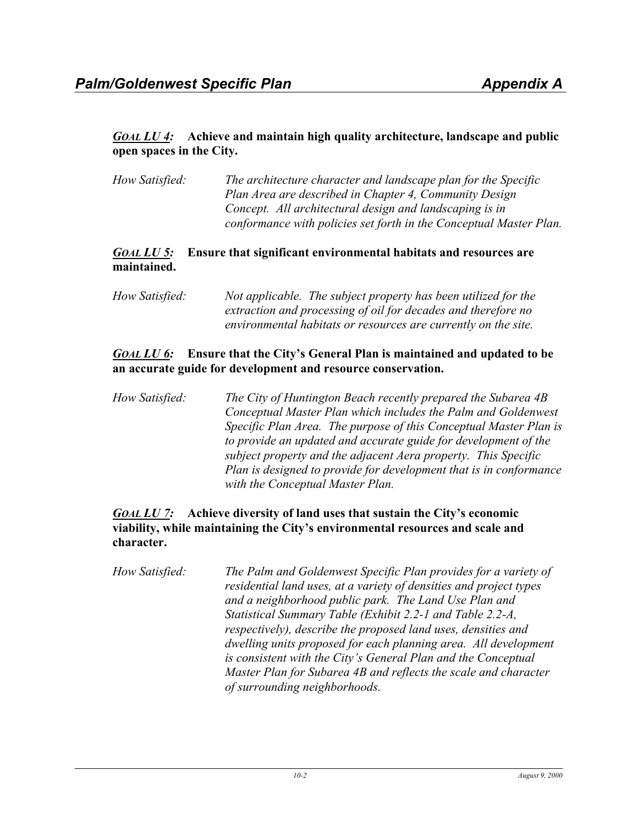## *GOAL LU 4:* **Achieve and maintain high quality architecture, landscape and public open spaces in the City.**

*How Satisfied: The architecture character and landscape plan for the Specific Plan Area are described in Chapter 4, Community Design Concept. All architectural design and landscaping is in conformance with policies set forth in the Conceptual Master Plan.* 

### *GOAL LU 5:* **Ensure that significant environmental habitats and resources are maintained.**

*How Satisfied: Not applicable. The subject property has been utilized for the extraction and processing of oil for decades and therefore no environmental habitats or resources are currently on the site.* 

## *GOAL LU 6:* **Ensure that the City's General Plan is maintained and updated to be an accurate guide for development and resource conservation.**

*How Satisfied: The City of Huntington Beach recently prepared the Subarea 4B Conceptual Master Plan which includes the Palm and Goldenwest Specific Plan Area. The purpose of this Conceptual Master Plan is to provide an updated and accurate guide for development of the subject property and the adjacent Aera property. This Specific Plan is designed to provide for development that is in conformance with the Conceptual Master Plan.* 

## *GOAL LU 7:* **Achieve diversity of land uses that sustain the City's economic viability, while maintaining the City's environmental resources and scale and character.**

*How Satisfied: The Palm and Goldenwest Specific Plan provides for a variety of residential land uses, at a variety of densities and project types and a neighborhood public park. The Land Use Plan and Statistical Summary Table (Exhibit 2.2-1 and Table 2.2-A, respectively), describe the proposed land uses, densities and dwelling units proposed for each planning area. All development is consistent with the City's General Plan and the Conceptual Master Plan for Subarea 4B and reflects the scale and character of surrounding neighborhoods.*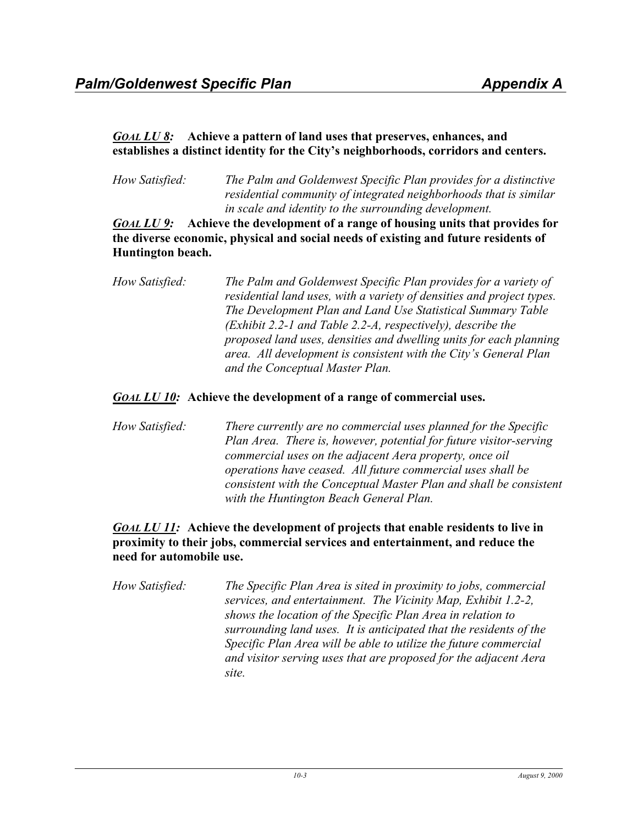## *GOAL LU 8:* **Achieve a pattern of land uses that preserves, enhances, and establishes a distinct identity for the City's neighborhoods, corridors and centers.**

*How Satisfied: The Palm and Goldenwest Specific Plan provides for a distinctive residential community of integrated neighborhoods that is similar in scale and identity to the surrounding development.* 

*GOAL LU 9:* **Achieve the development of a range of housing units that provides for the diverse economic, physical and social needs of existing and future residents of Huntington beach.**

*How Satisfied: The Palm and Goldenwest Specific Plan provides for a variety of residential land uses, with a variety of densities and project types. The Development Plan and Land Use Statistical Summary Table (Exhibit 2.2-1 and Table 2.2-A, respectively), describe the proposed land uses, densities and dwelling units for each planning area. All development is consistent with the City's General Plan and the Conceptual Master Plan.* 

## *GOAL LU 10:* **Achieve the development of a range of commercial uses.**

*How Satisfied: There currently are no commercial uses planned for the Specific Plan Area. There is, however, potential for future visitor-serving commercial uses on the adjacent Aera property, once oil operations have ceased. All future commercial uses shall be consistent with the Conceptual Master Plan and shall be consistent with the Huntington Beach General Plan.* 

## *GOAL LU 11:* **Achieve the development of projects that enable residents to live in proximity to their jobs, commercial services and entertainment, and reduce the need for automobile use.**

*How Satisfied: The Specific Plan Area is sited in proximity to jobs, commercial services, and entertainment. The Vicinity Map, Exhibit 1.2-2, shows the location of the Specific Plan Area in relation to surrounding land uses. It is anticipated that the residents of the Specific Plan Area will be able to utilize the future commercial and visitor serving uses that are proposed for the adjacent Aera site.*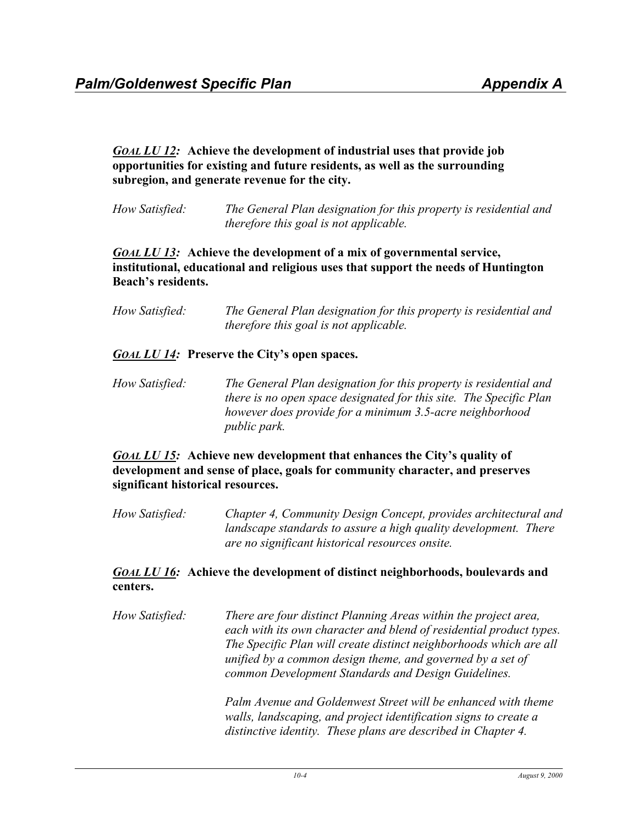## *GOAL LU 12:* **Achieve the development of industrial uses that provide job opportunities for existing and future residents, as well as the surrounding subregion, and generate revenue for the city.**

*How Satisfied: The General Plan designation for this property is residential and therefore this goal is not applicable.* 

## *GOAL LU 13:* **Achieve the development of a mix of governmental service, institutional, educational and religious uses that support the needs of Huntington Beach's residents.**

| How Satisfied: | The General Plan designation for this property is residential and |
|----------------|-------------------------------------------------------------------|
|                | <i>therefore this goal is not applicable.</i>                     |

## *GOAL LU 14:* **Preserve the City's open spaces.**

*How Satisfied: The General Plan designation for this property is residential and there is no open space designated for this site. The Specific Plan however does provide for a minimum 3.5-acre neighborhood public park.* 

### *GOAL LU 15:* **Achieve new development that enhances the City's quality of development and sense of place, goals for community character, and preserves significant historical resources.**

*How Satisfied: Chapter 4, Community Design Concept, provides architectural and landscape standards to assure a high quality development. There are no significant historical resources onsite.*

## *GOAL LU 16:* **Achieve the development of distinct neighborhoods, boulevards and centers.**

*How Satisfied: There are four distinct Planning Areas within the project area, each with its own character and blend of residential product types. The Specific Plan will create distinct neighborhoods which are all unified by a common design theme, and governed by a set of common Development Standards and Design Guidelines.* 

> *Palm Avenue and Goldenwest Street will be enhanced with theme walls, landscaping, and project identification signs to create a distinctive identity. These plans are described in Chapter 4.*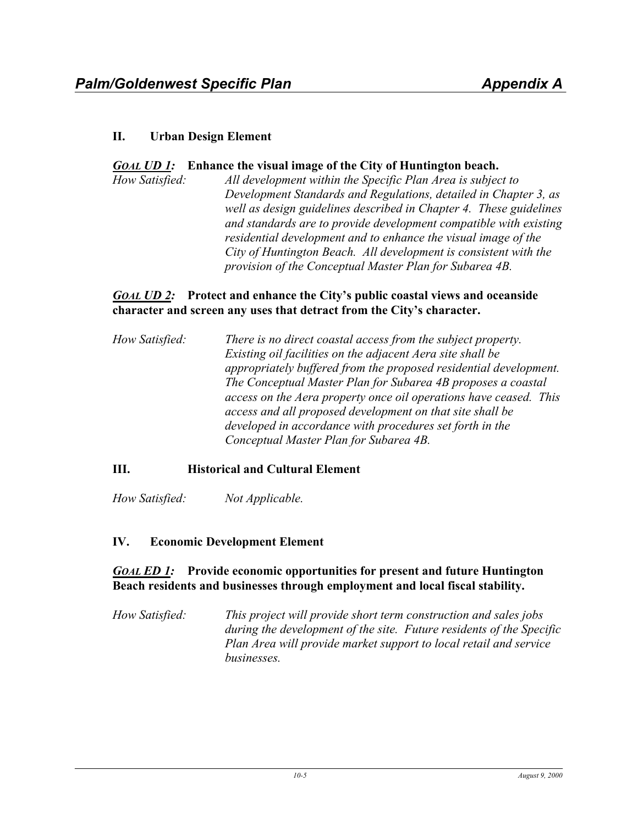## **II. Urban Design Element**

### *GOAL UD 1:* **Enhance the visual image of the City of Huntington beach.**

*How Satisfied: All development within the Specific Plan Area is subject to Development Standards and Regulations, detailed in Chapter 3, as well as design guidelines described in Chapter 4. These guidelines and standards are to provide development compatible with existing residential development and to enhance the visual image of the City of Huntington Beach. All development is consistent with the provision of the Conceptual Master Plan for Subarea 4B.* 

### *GOAL UD 2:* **Protect and enhance the City's public coastal views and oceanside character and screen any uses that detract from the City's character.**

*How Satisfied: There is no direct coastal access from the subject property. Existing oil facilities on the adjacent Aera site shall be appropriately buffered from the proposed residential development. The Conceptual Master Plan for Subarea 4B proposes a coastal access on the Aera property once oil operations have ceased. This access and all proposed development on that site shall be developed in accordance with procedures set forth in the Conceptual Master Plan for Subarea 4B.* 

## **III. Historical and Cultural Element**

*How Satisfied: Not Applicable.* 

### **IV. Economic Development Element**

## *GOAL ED 1:* **Provide economic opportunities for present and future Huntington Beach residents and businesses through employment and local fiscal stability.**

*How Satisfied: This project will provide short term construction and sales jobs during the development of the site. Future residents of the Specific Plan Area will provide market support to local retail and service businesses.*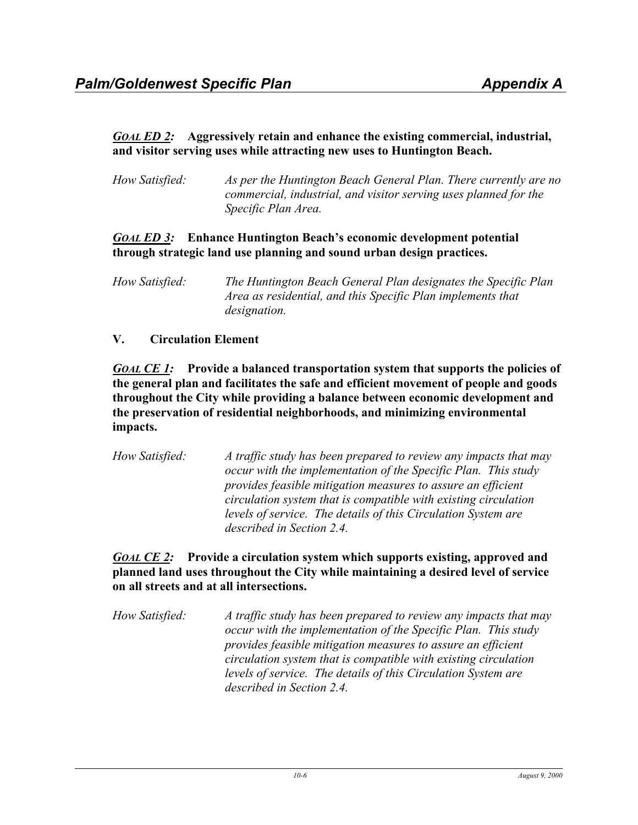## *GOAL ED 2:* **Aggressively retain and enhance the existing commercial, industrial, and visitor serving uses while attracting new uses to Huntington Beach.**

| How Satisfied: | As per the Huntington Beach General Plan. There currently are no |
|----------------|------------------------------------------------------------------|
|                | commercial, industrial, and visitor serving uses planned for the |
|                | Specific Plan Area.                                              |

## *GOAL ED 3:* **Enhance Huntington Beach's economic development potential through strategic land use planning and sound urban design practices.**

## **V. Circulation Element**

*GOAL CE 1:* Provide a balanced transportation system that supports the policies of **the general plan and facilitates the safe and efficient movement of people and goods throughout the City while providing a balance between economic development and the preservation of residential neighborhoods, and minimizing environmental impacts.**

*How Satisfied: A traffic study has been prepared to review any impacts that may occur with the implementation of the Specific Plan. This study provides feasible mitigation measures to assure an efficient circulation system that is compatible with existing circulation levels of service. The details of this Circulation System are described in Section 2.4.* 

*GOAL CE 2:* **Provide a circulation system which supports existing, approved and planned land uses throughout the City while maintaining a desired level of service on all streets and at all intersections.**

*How Satisfied: A traffic study has been prepared to review any impacts that may occur with the implementation of the Specific Plan. This study provides feasible mitigation measures to assure an efficient circulation system that is compatible with existing circulation levels of service. The details of this Circulation System are described in Section 2.4.* 

*How Satisfied: The Huntington Beach General Plan designates the Specific Plan Area as residential, and this Specific Plan implements that designation.*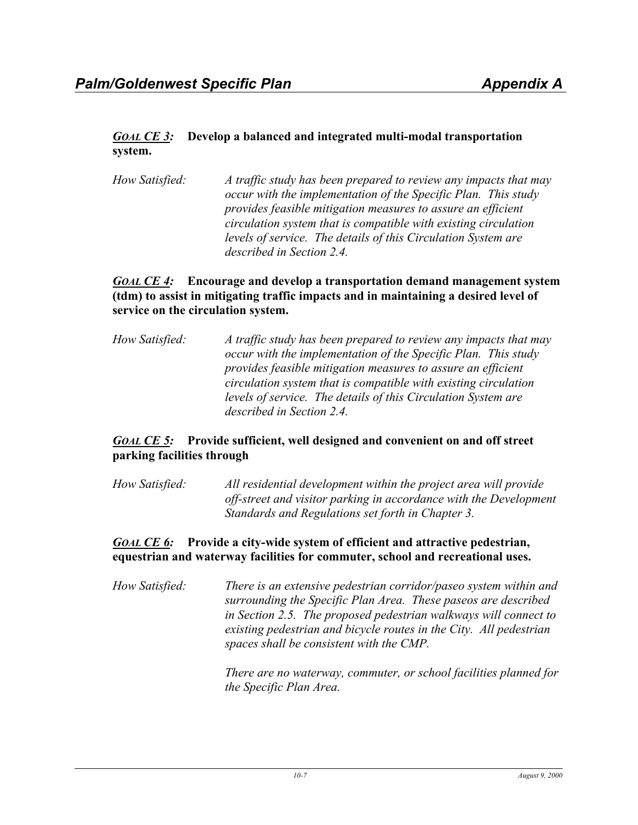## *GOAL CE 3:* **Develop a balanced and integrated multi-modal transportation system.**

*How Satisfied: A traffic study has been prepared to review any impacts that may occur with the implementation of the Specific Plan. This study provides feasible mitigation measures to assure an efficient circulation system that is compatible with existing circulation levels of service. The details of this Circulation System are described in Section 2.4.* 

## *GOAL CE 4:* **Encourage and develop a transportation demand management system (tdm) to assist in mitigating traffic impacts and in maintaining a desired level of service on the circulation system.**

*How Satisfied: A traffic study has been prepared to review any impacts that may occur with the implementation of the Specific Plan. This study provides feasible mitigation measures to assure an efficient circulation system that is compatible with existing circulation levels of service. The details of this Circulation System are described in Section 2.4.* 

## *GOAL CE 5:* **Provide sufficient, well designed and convenient on and off street parking facilities through**

*How Satisfied: All residential development within the project area will provide off-street and visitor parking in accordance with the Development Standards and Regulations set forth in Chapter 3.* 

## *GOAL CE 6:* **Provide a city-wide system of efficient and attractive pedestrian, equestrian and waterway facilities for commuter, school and recreational uses.**

*How Satisfied: There is an extensive pedestrian corridor/paseo system within and surrounding the Specific Plan Area. These paseos are described in Section 2.5. The proposed pedestrian walkways will connect to existing pedestrian and bicycle routes in the City. All pedestrian spaces shall be consistent with the CMP.* 

> *There are no waterway, commuter, or school facilities planned for the Specific Plan Area.*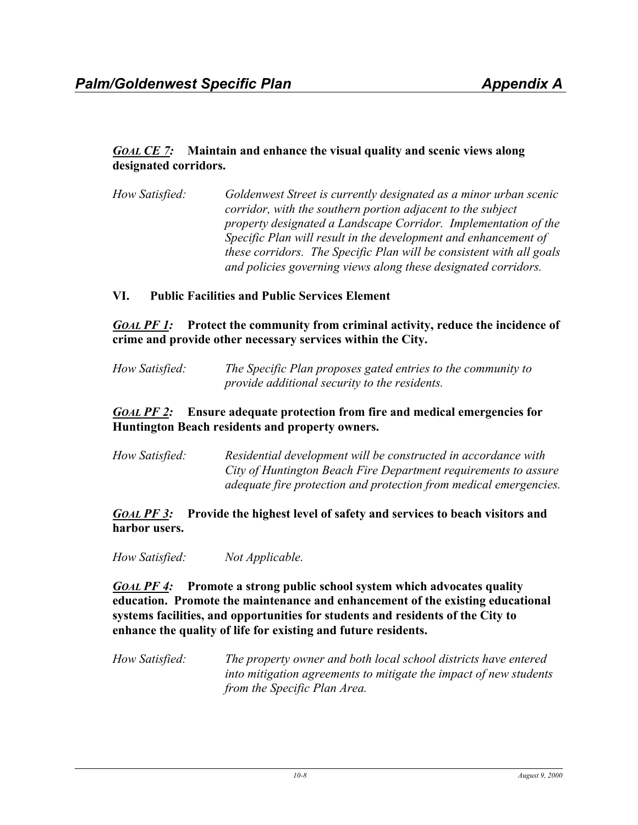## *GOAL CE 7:* **Maintain and enhance the visual quality and scenic views along designated corridors.**

*How Satisfied: Goldenwest Street is currently designated as a minor urban scenic corridor, with the southern portion adjacent to the subject property designated a Landscape Corridor. Implementation of the Specific Plan will result in the development and enhancement of these corridors. The Specific Plan will be consistent with all goals and policies governing views along these designated corridors.* 

## **VI. Public Facilities and Public Services Element**

*GOAL PF 1:* **Protect the community from criminal activity, reduce the incidence of crime and provide other necessary services within the City.**

*How Satisfied: The Specific Plan proposes gated entries to the community to provide additional security to the residents.* 

### *GOAL PF 2:* **Ensure adequate protection from fire and medical emergencies for Huntington Beach residents and property owners.**

*How Satisfied: Residential development will be constructed in accordance with City of Huntington Beach Fire Department requirements to assure adequate fire protection and protection from medical emergencies.* 

### *GOAL PF 3:* **Provide the highest level of safety and services to beach visitors and harbor users.**

*How Satisfied: Not Applicable.* 

*GOAL PF 4:* **Promote a strong public school system which advocates quality education. Promote the maintenance and enhancement of the existing educational systems facilities, and opportunities for students and residents of the City to enhance the quality of life for existing and future residents.**

*How Satisfied: The property owner and both local school districts have entered into mitigation agreements to mitigate the impact of new students from the Specific Plan Area.*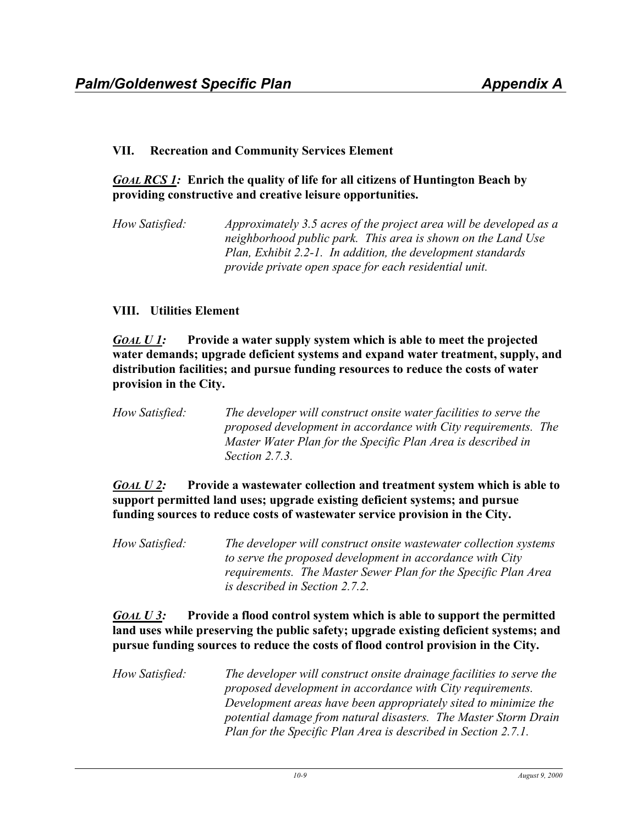### **VII. Recreation and Community Services Element**

## *GOAL RCS 1:* **Enrich the quality of life for all citizens of Huntington Beach by providing constructive and creative leisure opportunities.**

*How Satisfied: Approximately 3.5 acres of the project area will be developed as a neighborhood public park. This area is shown on the Land Use Plan, Exhibit 2.2-1. In addition, the development standards provide private open space for each residential unit.* 

### **VIII. Utilities Element**

*GOAL U 1:* **Provide a water supply system which is able to meet the projected water demands; upgrade deficient systems and expand water treatment, supply, and distribution facilities; and pursue funding resources to reduce the costs of water provision in the City.**

*How Satisfied: The developer will construct onsite water facilities to serve the proposed development in accordance with City requirements. The Master Water Plan for the Specific Plan Area is described in Section 2.7.3.* 

## *GOAL U 2:* **Provide a wastewater collection and treatment system which is able to support permitted land uses; upgrade existing deficient systems; and pursue funding sources to reduce costs of wastewater service provision in the City.**

*How Satisfied: The developer will construct onsite wastewater collection systems to serve the proposed development in accordance with City requirements. The Master Sewer Plan for the Specific Plan Area is described in Section 2.7.2.* 

## *GOAL U 3:* **Provide a flood control system which is able to support the permitted land uses while preserving the public safety; upgrade existing deficient systems; and pursue funding sources to reduce the costs of flood control provision in the City.**

*How Satisfied: The developer will construct onsite drainage facilities to serve the proposed development in accordance with City requirements. Development areas have been appropriately sited to minimize the potential damage from natural disasters. The Master Storm Drain Plan for the Specific Plan Area is described in Section 2.7.1.*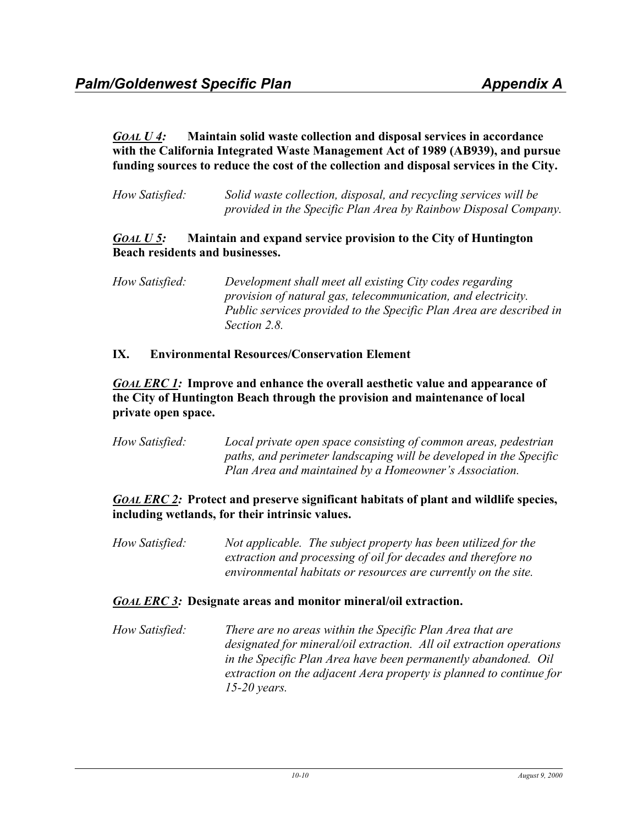*GOAL U 4:* **Maintain solid waste collection and disposal services in accordance with the California Integrated Waste Management Act of 1989 (AB939), and pursue funding sources to reduce the cost of the collection and disposal services in the City.**

*How Satisfied: Solid waste collection, disposal, and recycling services will be provided in the Specific Plan Area by Rainbow Disposal Company.* 

### *GOAL U 5:* **Maintain and expand service provision to the City of Huntington Beach residents and businesses.**

*How Satisfied: Development shall meet all existing City codes regarding provision of natural gas, telecommunication, and electricity. Public services provided to the Specific Plan Area are described in Section 2.8.* 

### **IX. Environmental Resources/Conservation Element**

## *GOAL ERC 1:* **Improve and enhance the overall aesthetic value and appearance of the City of Huntington Beach through the provision and maintenance of local private open space.**

| How Satisfied: | Local private open space consisting of common areas, pedestrian    |
|----------------|--------------------------------------------------------------------|
|                | paths, and perimeter landscaping will be developed in the Specific |
|                | Plan Area and maintained by a Homeowner's Association.             |

## *GOAL ERC 2:* **Protect and preserve significant habitats of plant and wildlife species, including wetlands, for their intrinsic values.**

*How Satisfied: Not applicable. The subject property has been utilized for the extraction and processing of oil for decades and therefore no environmental habitats or resources are currently on the site.* 

### *GOAL ERC 3:* **Designate areas and monitor mineral/oil extraction.**

*How Satisfied: There are no areas within the Specific Plan Area that are designated for mineral/oil extraction. All oil extraction operations in the Specific Plan Area have been permanently abandoned. Oil extraction on the adjacent Aera property is planned to continue for 15-20 years.*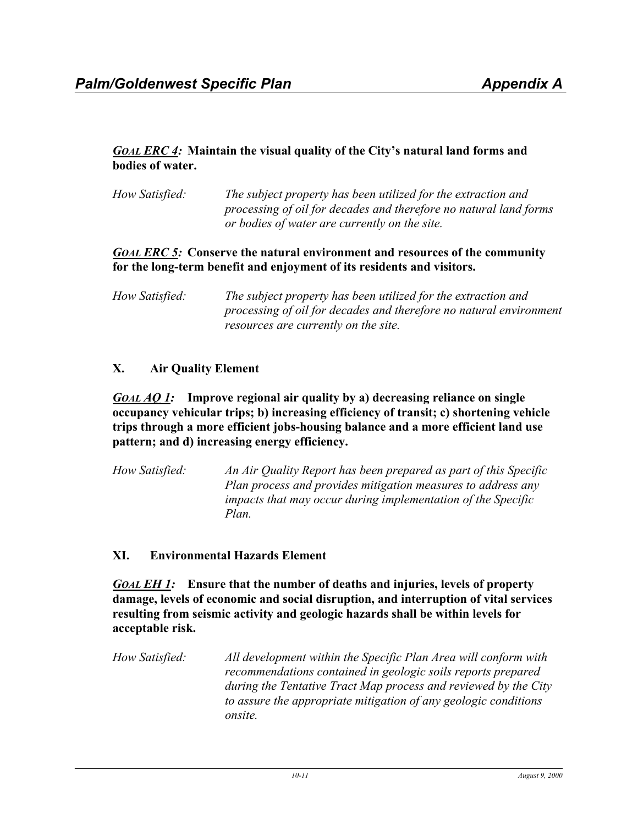## *GOAL ERC 4:* **Maintain the visual quality of the City's natural land forms and bodies of water.**

*How Satisfied: The subject property has been utilized for the extraction and processing of oil for decades and therefore no natural land forms or bodies of water are currently on the site.* 

## *GOAL ERC 5:* **Conserve the natural environment and resources of the community for the long-term benefit and enjoyment of its residents and visitors.**

*How Satisfied: The subject property has been utilized for the extraction and processing of oil for decades and therefore no natural environment resources are currently on the site.* 

## **X. Air Quality Element**

### *GOAL AQ 1:* **Improve regional air quality by a) decreasing reliance on single occupancy vehicular trips; b) increasing efficiency of transit; c) shortening vehicle trips through a more efficient jobs-housing balance and a more efficient land use pattern; and d) increasing energy efficiency.**

*How Satisfied: An Air Quality Report has been prepared as part of this Specific Plan process and provides mitigation measures to address any impacts that may occur during implementation of the Specific Plan.* 

## **XI. Environmental Hazards Element**

*GOAL EH 1:* **Ensure that the number of deaths and injuries, levels of property damage, levels of economic and social disruption, and interruption of vital services resulting from seismic activity and geologic hazards shall be within levels for acceptable risk.**

*How Satisfied: All development within the Specific Plan Area will conform with recommendations contained in geologic soils reports prepared during the Tentative Tract Map process and reviewed by the City to assure the appropriate mitigation of any geologic conditions onsite.*